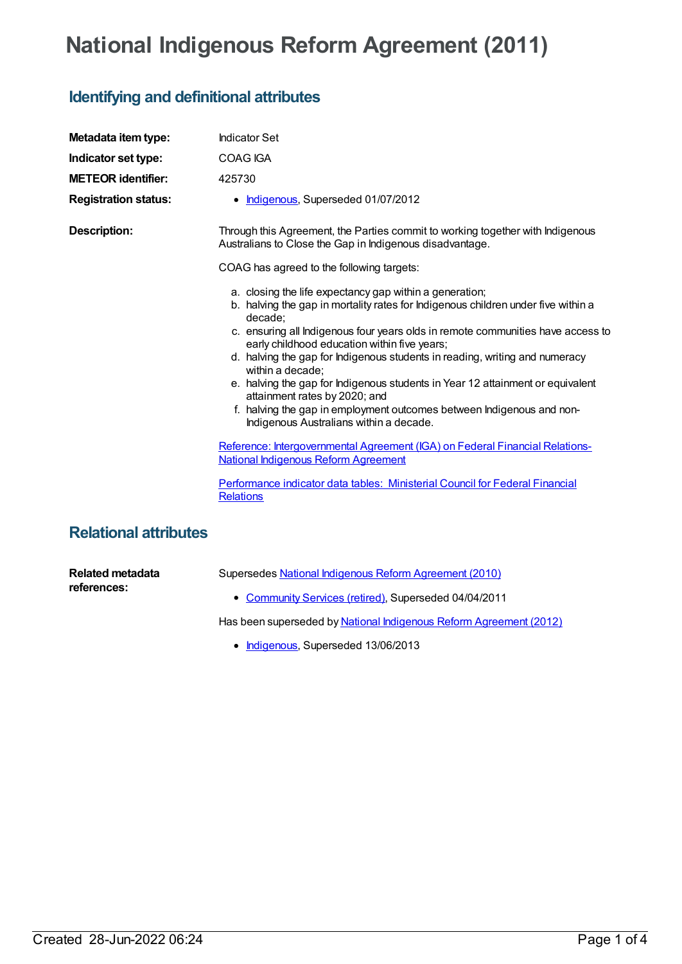## **National Indigenous Reform Agreement (2011)**

## **Identifying and definitional attributes**

| Metadata item type:          | <b>Indicator Set</b>                                                                                                                                                                                                                                                                                                                                                                                                                                                                                                                                                                                                                 |
|------------------------------|--------------------------------------------------------------------------------------------------------------------------------------------------------------------------------------------------------------------------------------------------------------------------------------------------------------------------------------------------------------------------------------------------------------------------------------------------------------------------------------------------------------------------------------------------------------------------------------------------------------------------------------|
| Indicator set type:          | <b>COAG IGA</b>                                                                                                                                                                                                                                                                                                                                                                                                                                                                                                                                                                                                                      |
| <b>METEOR identifier:</b>    | 425730                                                                                                                                                                                                                                                                                                                                                                                                                                                                                                                                                                                                                               |
| <b>Registration status:</b>  | • Indigenous, Superseded 01/07/2012                                                                                                                                                                                                                                                                                                                                                                                                                                                                                                                                                                                                  |
| <b>Description:</b>          | Through this Agreement, the Parties commit to working together with Indigenous<br>Australians to Close the Gap in Indigenous disadvantage.                                                                                                                                                                                                                                                                                                                                                                                                                                                                                           |
|                              | COAG has agreed to the following targets:                                                                                                                                                                                                                                                                                                                                                                                                                                                                                                                                                                                            |
|                              | a. closing the life expectancy gap within a generation;<br>b. halving the gap in mortality rates for Indigenous children under five within a<br>decade:<br>c. ensuring all Indigenous four years olds in remote communities have access to<br>early childhood education within five years;<br>d. halving the gap for Indigenous students in reading, writing and numeracy<br>within a decade;<br>e. halving the gap for Indigenous students in Year 12 attainment or equivalent<br>attainment rates by 2020; and<br>f. halving the gap in employment outcomes between Indigenous and non-<br>Indigenous Australians within a decade. |
|                              | Reference: Intergovernmental Agreement (IGA) on Federal Financial Relations-<br><b>National Indigenous Reform Agreement</b>                                                                                                                                                                                                                                                                                                                                                                                                                                                                                                          |
|                              | Performance indicator data tables: Ministerial Council for Federal Financial<br><b>Relations</b>                                                                                                                                                                                                                                                                                                                                                                                                                                                                                                                                     |
| <b>Relational attributes</b> |                                                                                                                                                                                                                                                                                                                                                                                                                                                                                                                                                                                                                                      |

**Related metadata references:**

Supersedes National Indigenous Reform [Agreement](https://meteor.aihw.gov.au/content/393476) (2010)

[Community](https://meteor.aihw.gov.au/RegistrationAuthority/1) Services (retired), Superseded 04/04/2011

Has been superseded by National Indigenous Reform [Agreement](https://meteor.aihw.gov.au/content/438475) (2012)

• [Indigenous](https://meteor.aihw.gov.au/RegistrationAuthority/6), Superseded 13/06/2013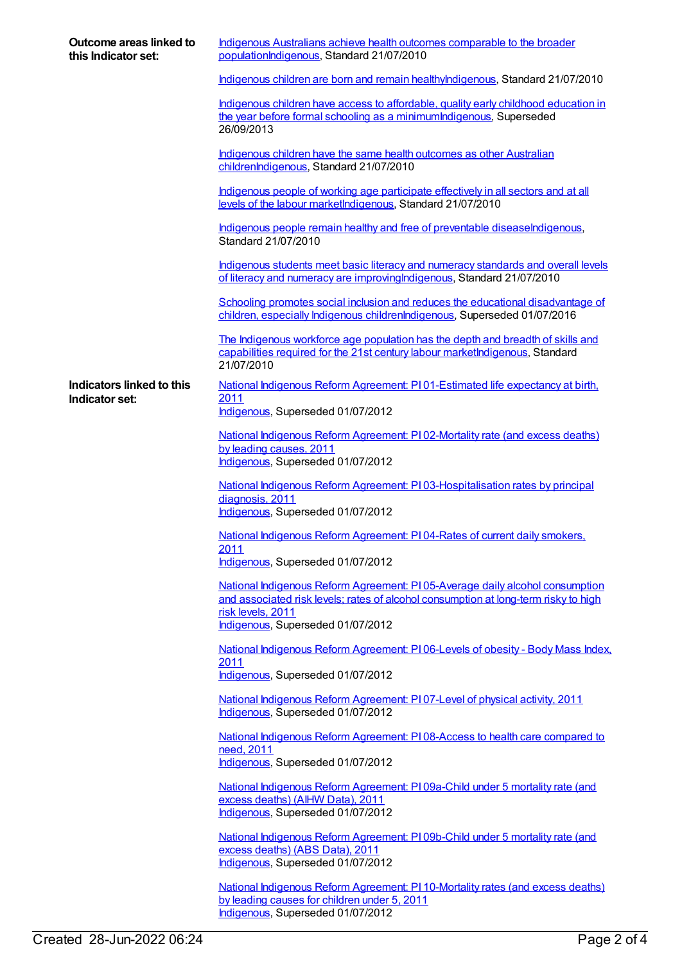| Outcome areas linked to<br>this Indicator set: | Indigenous Australians achieve health outcomes comparable to the broader<br>populationIndigenous, Standard 21/07/2010                                                                    |
|------------------------------------------------|------------------------------------------------------------------------------------------------------------------------------------------------------------------------------------------|
|                                                | Indigenous children are born and remain healthylndigenous, Standard 21/07/2010                                                                                                           |
|                                                | Indigenous children have access to affordable, quality early childhood education in<br>the year before formal schooling as a minimum Indigenous, Superseded<br>26/09/2013                |
|                                                | Indigenous children have the same health outcomes as other Australian<br>childrenlndigenous, Standard 21/07/2010                                                                         |
|                                                | Indigenous people of working age participate effectively in all sectors and at all<br>levels of the labour marketIndigenous, Standard 21/07/2010                                         |
|                                                | Indigenous people remain healthy and free of preventable diseaseIndigenous,<br>Standard 21/07/2010                                                                                       |
|                                                | Indigenous students meet basic literacy and numeracy standards and overall levels<br>of literacy and numeracy are improving Indigenous, Standard 21/07/2010                              |
|                                                | Schooling promotes social inclusion and reduces the educational disadvantage of<br>children, especially Indigenous childrenIndigenous, Superseded 01/07/2016                             |
|                                                | The Indigenous workforce age population has the depth and breadth of skills and<br>capabilities required for the 21st century labour marketIndigenous, Standard<br>21/07/2010            |
| Indicators linked to this<br>Indicator set:    | National Indigenous Reform Agreement: P101-Estimated life expectancy at birth,<br>2011<br>Indigenous, Superseded 01/07/2012                                                              |
|                                                |                                                                                                                                                                                          |
|                                                | National Indigenous Reform Agreement: PI02-Mortality rate (and excess deaths)<br>by leading causes, 2011<br>Indigenous, Superseded 01/07/2012                                            |
|                                                | National Indigenous Reform Agreement: PI03-Hospitalisation rates by principal<br>diagnosis, 2011<br>Indigenous, Superseded 01/07/2012                                                    |
|                                                | National Indigenous Reform Agreement: PI04-Rates of current daily smokers,<br><u> 2011</u>                                                                                               |
|                                                | Indigenous, Superseded 01/07/2012                                                                                                                                                        |
|                                                | National Indigenous Reform Agreement: PI05-Average daily alcohol consumption<br>and associated risk levels; rates of alcohol consumption at long-term risky to high<br>risk levels, 2011 |
|                                                | Indigenous, Superseded 01/07/2012                                                                                                                                                        |
|                                                | National Indigenous Reform Agreement: PI06-Levels of obesity - Body Mass Index,<br>2011                                                                                                  |
|                                                | Indigenous, Superseded 01/07/2012                                                                                                                                                        |
|                                                | National Indigenous Reform Agreement: PI07-Level of physical activity, 2011<br>Indigenous, Superseded 01/07/2012                                                                         |
|                                                | National Indigenous Reform Agreement: PI08-Access to health care compared to<br>need, 2011<br>Indigenous, Superseded 01/07/2012                                                          |
|                                                |                                                                                                                                                                                          |
|                                                | National Indigenous Reform Agreement: PI09a-Child under 5 mortality rate (and<br>excess deaths) (AIHW Data), 2011<br>Indigenous, Superseded 01/07/2012                                   |
|                                                | National Indigenous Reform Agreement: P109b-Child under 5 mortality rate (and<br>excess deaths) (ABS Data), 2011<br>Indigenous, Superseded 01/07/2012                                    |
|                                                | National Indigenous Reform Agreement: PI 10-Mortality rates (and excess deaths)<br>by leading causes for children under 5, 2011                                                          |

[Indigenous](https://meteor.aihw.gov.au/RegistrationAuthority/6), Superseded 01/07/2012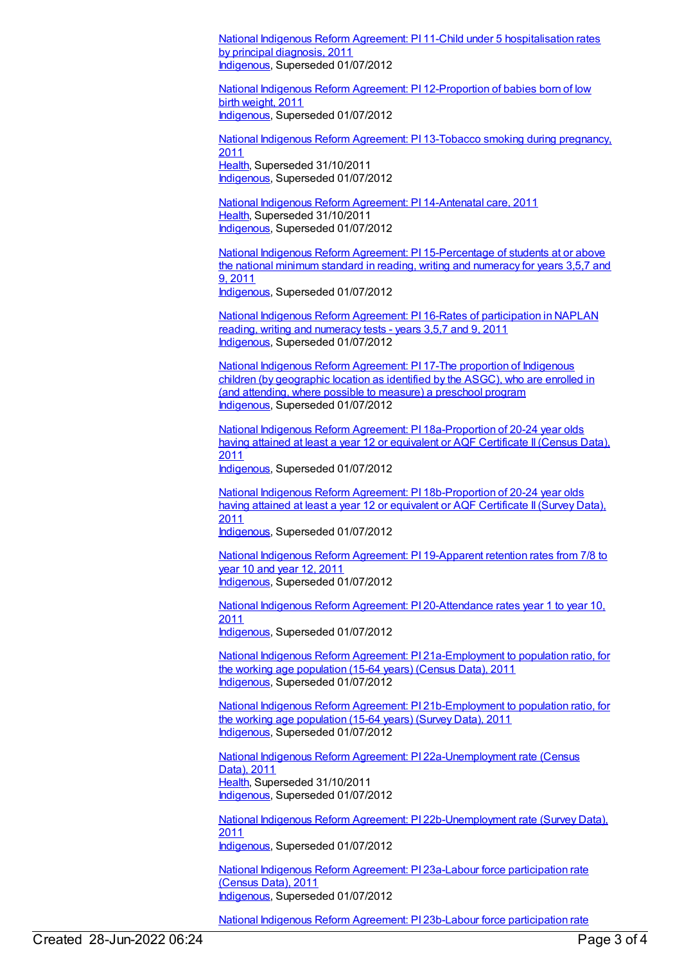National Indigenous Reform Agreement: PI 11-Child under 5 [hospitalisation](https://meteor.aihw.gov.au/content/425764) rates by principal diagnosis, 2011 [Indigenous](https://meteor.aihw.gov.au/RegistrationAuthority/6), Superseded 01/07/2012

National Indigenous Reform Agreement: PI [12-Proportion](https://meteor.aihw.gov.au/content/425771) of babies born of low birth weight, 2011 [Indigenous](https://meteor.aihw.gov.au/RegistrationAuthority/6), Superseded 01/07/2012

National Indigenous Reform Agreement: PI [13-Tobacco](https://meteor.aihw.gov.au/content/425773) smoking during pregnancy, 2011 [Health](https://meteor.aihw.gov.au/RegistrationAuthority/12), Superseded 31/10/2011 [Indigenous](https://meteor.aihw.gov.au/RegistrationAuthority/6), Superseded 01/07/2012

National Indigenous Reform Agreement: PI [14-Antenatal](https://meteor.aihw.gov.au/content/425775) care, 2011 [Health](https://meteor.aihw.gov.au/RegistrationAuthority/12), Superseded 31/10/2011 [Indigenous](https://meteor.aihw.gov.au/RegistrationAuthority/6), Superseded 01/07/2012

National Indigenous Reform Agreement: PI [15-Percentage](https://meteor.aihw.gov.au/content/425777) of students at or above the national minimum standard in reading, writing and numeracy for years 3,5,7 and 9, 2011 [Indigenous](https://meteor.aihw.gov.au/RegistrationAuthority/6), Superseded 01/07/2012

National Indigenous Reform Agreement: PI 16-Rates of [participation](https://meteor.aihw.gov.au/content/425781) in NAPLAN reading, writing and numeracy tests - years 3,5,7 and 9, 2011 [Indigenous](https://meteor.aihw.gov.au/RegistrationAuthority/6), Superseded 01/07/2012

National Indigenous Reform [Agreement:](https://meteor.aihw.gov.au/content/425783) PI 17-The proportion of Indigenous children (by geographic location as identified by the ASGC), who are enrolled in (and attending, where possible to measure) a preschool program [Indigenous](https://meteor.aihw.gov.au/RegistrationAuthority/6), Superseded 01/07/2012

National Indigenous Reform Agreement: PI [18a-Proportion](https://meteor.aihw.gov.au/content/425785) of 20-24 year olds having attained at least a year 12 or equivalent or AQF Certificate II (Census Data), 2011

[Indigenous](https://meteor.aihw.gov.au/RegistrationAuthority/6), Superseded 01/07/2012

National Indigenous Reform Agreement: PI [18b-Proportion](https://meteor.aihw.gov.au/content/425787) of 20-24 year olds having attained at least a year 12 or equivalent or AQF Certificate II (Survey Data), 2011

[Indigenous](https://meteor.aihw.gov.au/RegistrationAuthority/6), Superseded 01/07/2012

National Indigenous Reform Agreement: PI [19-Apparent](https://meteor.aihw.gov.au/content/425789) retention rates from 7/8 to year 10 and year 12, 2011 [Indigenous](https://meteor.aihw.gov.au/RegistrationAuthority/6), Superseded 01/07/2012

National Indigenous Reform Agreement: PI [20-Attendance](https://meteor.aihw.gov.au/content/425791) rates year 1 to year 10, 2011

[Indigenous](https://meteor.aihw.gov.au/RegistrationAuthority/6), Superseded 01/07/2012

National Indigenous Reform Agreement: PI [21a-Employment](https://meteor.aihw.gov.au/content/425793) to population ratio, for the working age population (15-64 years) (Census Data), 2011 [Indigenous](https://meteor.aihw.gov.au/RegistrationAuthority/6), Superseded 01/07/2012

National Indigenous Reform Agreement: PI [21b-Employment](https://meteor.aihw.gov.au/content/425795) to population ratio, for the working age population (15-64 years) (Survey Data), 2011 [Indigenous](https://meteor.aihw.gov.au/RegistrationAuthority/6), Superseded 01/07/2012

National Indigenous Reform Agreement: PI [22a-Unemployment](https://meteor.aihw.gov.au/content/425797) rate (Census Data), 2011 [Health](https://meteor.aihw.gov.au/RegistrationAuthority/12), Superseded 31/10/2011 [Indigenous](https://meteor.aihw.gov.au/RegistrationAuthority/6), Superseded 01/07/2012

National Indigenous Reform Agreement: PI [22b-Unemployment](https://meteor.aihw.gov.au/content/425799) rate (Survey Data), 2011

[Indigenous](https://meteor.aihw.gov.au/RegistrationAuthority/6), Superseded 01/07/2012

National Indigenous Reform Agreement: PI 23a-Labour force [participation](https://meteor.aihw.gov.au/content/425801) rate (Census Data), 2011 [Indigenous](https://meteor.aihw.gov.au/RegistrationAuthority/6), Superseded 01/07/2012

National Indigenous Reform Agreement: PI 23b-Labour force [participation](https://meteor.aihw.gov.au/content/425803) rate